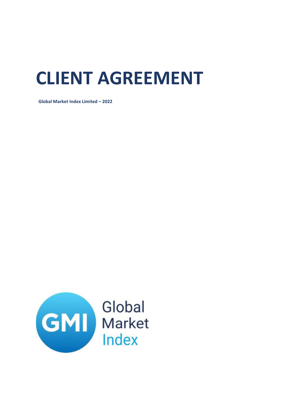# **CLIENT AGREEMENT**

**Global Market Index Limited – 2022**

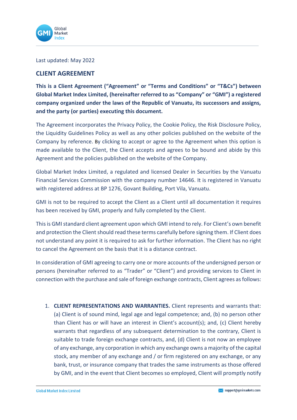

Last updated: May 2022

## **CLIENT AGREEMENT**

**This is a Client Agreement ("Agreement" or "Terms and Conditions" or "T&Cs") between Global Market Index Limited, (hereinafter referred to as "Company" or "GMI") a registered company organized under the laws of the Republic of Vanuatu, its successors and assigns, and the party (or parties) executing this document.**

The Agreement incorporates the Privacy Policy, the Cookie Policy, the Risk Disclosure Policy, the Liquidity Guidelines Policy as well as any other policies published on the website of the Company by reference. By clicking to accept or agree to the Agreement when this option is made available to the Client, the Client accepts and agrees to be bound and abide by this Agreement and the policies published on the website of the Company.

Global Market Index Limited, a regulated and licensed Dealer in Securities by the Vanuatu Financial Services Commission with the company number 14646. It is registered in Vanuatu with registered address at BP 1276, Govant Building, Port Vila, Vanuatu.

GMI is not to be required to accept the Client as a Client until all documentation it requires has been received by GMI, properly and fully completed by the Client.

This is GMI standard client agreement upon which GMI intend to rely. For Client's own benefit and protection the Client should read these terms carefully before signing them. If Client does not understand any point it is required to ask for further information. The Client has no right to cancel the Agreement on the basis that it is a distance contract.

In consideration of GMI agreeing to carry one or more accounts of the undersigned person or persons (hereinafter referred to as "Trader" or "Client") and providing services to Client in connection with the purchase and sale of foreign exchange contracts, Client agrees as follows:

1. **CLIENT REPRESENTATIONS AND WARRANTIES.** Client represents and warrants that: (a) Client is of sound mind, legal age and legal competence; and, (b) no person other than Client has or will have an interest in Client's account(s); and, (c) Client hereby warrants that regardless of any subsequent determination to the contrary, Client is suitable to trade foreign exchange contracts, and, (d) Client is not now an employee of any exchange, any corporation in which any exchange owns a majority of the capital stock, any member of any exchange and / or firm registered on any exchange, or any bank, trust, or insurance company that trades the same instruments as those offered by GMI, and in the event that Client becomes so employed, Client will promptly notify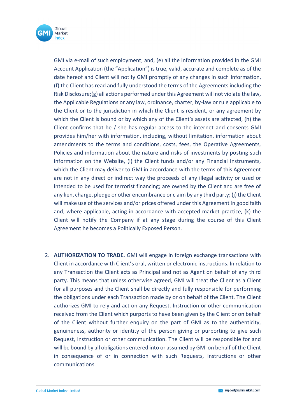

GMI via e-mail of such employment; and, (e) all the information provided in the GMI Account Application (the "Application") is true, valid, accurate and complete as of the date hereof and Client will notify GMI promptly of any changes in such information, (f) the Client has read and fully understood the terms of the Agreements including the Risk Disclosure;(g) all actions performed under this Agreement will not violate the law, the Applicable Regulations or any law, ordinance, charter, by-law or rule applicable to the Client or to the jurisdiction in which the Client is resident, or any agreement by which the Client is bound or by which any of the Client's assets are affected, (h) the Client confirms that he / she has regular access to the internet and consents GMI provides him/her with information, including, without limitation, information about amendments to the terms and conditions, costs, fees, the Operative Agreements, Policies and information about the nature and risks of investments by posting such information on the Website, (i) the Client funds and/or any Financial Instruments, which the Client may deliver to GMI in accordance with the terms of this Agreement are not in any direct or indirect way the proceeds of any illegal activity or used or intended to be used for terrorist financing; are owned by the Client and are free of any lien, charge, pledge or other encumbrance or claim by any third party; (j) the Client will make use of the services and/or prices offered under this Agreement in good faith and, where applicable, acting in accordance with accepted market practice, (k) the Client will notify the Company if at any stage during the course of this Client Agreement he becomes a Politically Exposed Person.

2. **AUTHORIZATION TO TRADE.** GMI will engage in foreign exchange transactions with Client in accordance with Client's oral, written or electronic instructions. In relation to any Transaction the Client acts as Principal and not as Agent on behalf of any third party. This means that unless otherwise agreed, GMI will treat the Client as a Client for all purposes and the Client shall be directly and fully responsible for performing the obligations under each Transaction made by or on behalf of the Client. The Client authorizes GMI to rely and act on any Request, Instruction or other communication received from the Client which purports to have been given by the Client or on behalf of the Client without further enquiry on the part of GMI as to the authenticity, genuineness, authority or identity of the person giving or purporting to give such Request, Instruction or other communication. The Client will be responsible for and will be bound by all obligations entered into or assumed by GMI on behalf of the Client in consequence of or in connection with such Requests, Instructions or other communications.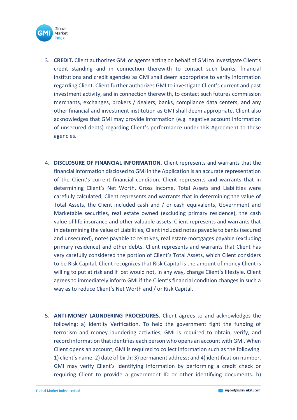

- 3. **CREDIT.** Client authorizes GMI or agents acting on behalf of GMI to investigate Client's credit standing and in connection therewith to contact such banks, financial institutions and credit agencies as GMI shall deem appropriate to verify information regarding Client. Client further authorizes GMI to investigate Client's current and past investment activity, and in connection therewith, to contact such futures commission merchants, exchanges, brokers / dealers, banks, compliance data centers, and any other financial and investment institution as GMI shall deem appropriate. Client also acknowledges that GMI may provide information (e.g. negative account information of unsecured debts) regarding Client's performance under this Agreement to these agencies.
- 4. **DISCLOSURE OF FINANCIAL INFORMATION.** Client represents and warrants that the financial information disclosed to GMI in the Application is an accurate representation of the Client's current financial condition. Client represents and warrants that in determining Client's Net Worth, Gross Income, Total Assets and Liabilities were carefully calculated, Client represents and warrants that in determining the value of Total Assets, the Client included cash and / or cash equivalents, Government and Marketable securities, real estate owned (excluding primary residence), the cash value of life insurance and other valuable assets. Client represents and warrants that in determining the value of Liabilities, Client included notes payable to banks (secured and unsecured), notes payable to relatives, real estate mortgages payable (excluding primary residence) and other debts. Client represents and warrants that Client has very carefully considered the portion of Client's Total Assets, which Client considers to be Risk Capital. Client recognizes that Risk Capital is the amount of money Client is willing to put at risk and if lost would not, in any way, change Client's lifestyle. Client agrees to immediately inform GMI if the Client's financial condition changes in such a way as to reduce Client's Net Worth and / or Risk Capital.
- 5. **ANTI-MONEY LAUNDERING PROCEDURES.** Client agrees to and acknowledges the following: a) Identity Verification. To help the government fight the funding of terrorism and money laundering activities, GMI is required to obtain, verify, and record information that identifies each person who opens an account with GMI. When Client opens an account, GMI is required to collect information such as the following: 1) client's name; 2) date of birth; 3) permanent address; and 4) identification number. GMI may verify Client's identifying information by performing a credit check or requiring Client to provide a government ID or other identifying documents. b)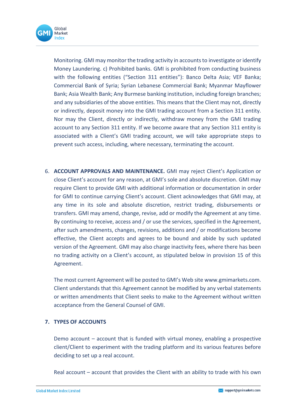

Monitoring. GMI may monitor the trading activity in accounts to investigate or identify Money Laundering. c) Prohibited banks. GMI is prohibited from conducting business with the following entities ("Section 311 entities"): Banco Delta Asia; VEF Banka; Commercial Bank of Syria; Syrian Lebanese Commercial Bank; Myanmar Mayflower Bank; Asia Wealth Bank; Any Burmese banking institution, including foreign branches; and any subsidiaries of the above entities. This means that the Client may not, directly or indirectly, deposit money into the GMI trading account from a Section 311 entity. Nor may the Client, directly or indirectly, withdraw money from the GMI trading account to any Section 311 entity. If we become aware that any Section 311 entity is associated with a Client's GMI trading account, we will take appropriate steps to prevent such access, including, where necessary, terminating the account.

6. **ACCOUNT APPROVALS AND MAINTENANCE.** GMI may reject Client's Application or close Client's account for any reason, at GMI's sole and absolute discretion. GMI may require Client to provide GMI with additional information or documentation in order for GMI to continue carrying Client's account. Client acknowledges that GMI may, at any time in its sole and absolute discretion, restrict trading, disbursements or transfers. GMI may amend, change, revise, add or modify the Agreement at any time. By continuing to receive, access and / or use the services, specified in the Agreement, after such amendments, changes, revisions, additions and / or modifications become effective, the Client accepts and agrees to be bound and abide by such updated version of the Agreement. GMI may also charge inactivity fees, where there has been no trading activity on a Client's account, as stipulated below in provision 15 of this Agreement.

The most current Agreement will be posted to GMI's Web site www.gmimarkets.com. Client understands that this Agreement cannot be modified by any verbal statements or written amendments that Client seeks to make to the Agreement without written acceptance from the General Counsel of GMI.

#### **7. TYPES OF ACCOUNTS**

Demo account – account that is funded with virtual money, enabling a prospective client/Client to experiment with the trading platform and its various features before deciding to set up a real account.

Real account – account that provides the Client with an ability to trade with his own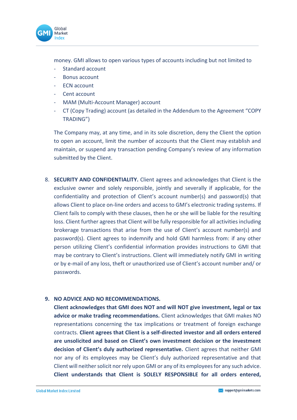

money. GMI allows to open various types of accounts including but not limited to

- Standard account
- Bonus account
- ECN account
- Cent account
- MAM (Multi-Account Manager) account
- CT (Copy Trading) account (as detailed in the Addendum to the Agreement "COPY TRADING")

The Company may, at any time, and in its sole discretion, deny the Client the option to open an account, limit the number of accounts that the Client may establish and maintain, or suspend any transaction pending Company's review of any information submitted by the Client.

8. **SECURITY AND CONFIDENTIALITY.** Client agrees and acknowledges that Client is the exclusive owner and solely responsible, jointly and severally if applicable, for the confidentiality and protection of Client's account number(s) and password(s) that allows Client to place on-line orders and access to GMI's electronic trading systems. If Client fails to comply with these clauses, then he or she will be liable for the resulting loss. Client further agrees that Client will be fully responsible for all activities including brokerage transactions that arise from the use of Client's account number(s) and password(s). Client agrees to indemnify and hold GMI harmless from: if any other person utilizing Client's confidential information provides instructions to GMI that may be contrary to Client's instructions. Client will immediately notify GMI in writing or by e-mail of any loss, theft or unauthorized use of Client's account number and/ or passwords.

## **9. NO ADVICE AND NO RECOMMENDATIONS.**

**Client acknowledges that GMI does NOT and will NOT give investment, legal or tax advice or make trading recommendations.** Client acknowledges that GMI makes NO representations concerning the tax implications or treatment of foreign exchange contracts. **Client agrees that Client is a self-directed investor and all orders entered are unsolicited and based on Client's own investment decision or the investment decision of Client's duly authorized representative.** Client agrees that neither GMI nor any of its employees may be Client's duly authorized representative and that Client will neither solicit nor rely upon GMI or any of its employees for any such advice. **Client understands that Client is SOLELY RESPONSIBLE for all orders entered,**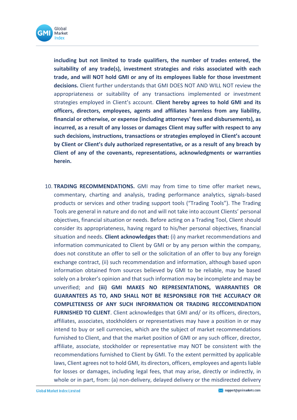

**including but not limited to trade qualifiers, the number of trades entered, the suitability of any trade(s), investment strategies and risks associated with each trade, and will NOT hold GMI or any of its employees liable for those investment decisions.** Client further understands that GMI DOES NOT AND WILL NOT review the appropriateness or suitability of any transactions implemented or investment strategies employed in Client's account. **Client hereby agrees to hold GMI and its officers, directors, employees, agents and affiliates harmless from any liability, financial or otherwise, or expense (including attorneys' fees and disbursements), as incurred, as a result of any losses or damages Client may suffer with respect to any such decisions, instructions, transactions or strategies employed in Client's account by Client or Client's duly authorized representative, or as a result of any breach by Client of any of the covenants, representations, acknowledgments or warranties herein.**

10. **TRADING RECOMMENDATIONS.** GMI may from time to time offer market news, commentary, charting and analysis, trading performance analytics, signals-based products or services and other trading support tools ("Trading Tools"). The Trading Tools are general in nature and do not and will not take into account Clients' personal objectives, financial situation or needs. Before acting on a Trading Tool, Client should consider its appropriateness, having regard to his/her personal objectives, financial situation and needs. **Client acknowledges that:** (i) any market recommendations and information communicated to Client by GMI or by any person within the company, does not constitute an offer to sell or the solicitation of an offer to buy any foreign exchange contract, (ii) such recommendation and information, although based upon information obtained from sources believed by GMI to be reliable, may be based solely on a broker's opinion and that such information may be incomplete and may be unverified; and **(iii) GMI MAKES NO REPRESENTATIONS, WARRANTIES OR GUARANTEES AS TO, AND SHALL NOT BE RESPONSIBLE FOR THE ACCURACY OR COMPLETENESS OF ANY SUCH INFORMATION OR TRADING RECCOMENDATION FURNISHED TO CLIENT**. Client acknowledges that GMI and/ or its officers, directors, affiliates, associates, stockholders or representatives may have a position in or may intend to buy or sell currencies, which are the subject of market recommendations furnished to Client, and that the market position of GMI or any such officer, director, affiliate, associate, stockholder or representative may NOT be consistent with the recommendations furnished to Client by GMI. To the extent permitted by applicable laws, Client agrees not to hold GMI, its directors, officers, employees and agents liable for losses or damages, including legal fees, that may arise, directly or indirectly, in whole or in part, from: (a) non-delivery, delayed delivery or the misdirected delivery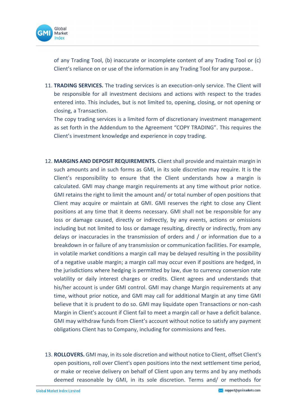

of any Trading Tool, (b) inaccurate or incomplete content of any Trading Tool or (c) Client's reliance on or use of the information in any Trading Tool for any purpose..

11. **TRADING SERVICES.** The trading services is an execution-only service. The Client will be responsible for all investment decisions and actions with respect to the trades entered into. This includes, but is not limited to, opening, closing, or not opening or closing, a Transaction.

The copy trading services is a limited form of discretionary investment management as set forth in the Addendum to the Agreement "COPY TRADING". This requires the Client's investment knowledge and experience in copy trading.

- 12. **MARGINS AND DEPOSIT REQUIREMENTS.** Client shall provide and maintain margin in such amounts and in such forms as GMI, in its sole discretion may require. It is the Client's responsibility to ensure that the Client understands how a margin is calculated. GMI may change margin requirements at any time without prior notice. GMI retains the right to limit the amount and/ or total number of open positions that Client may acquire or maintain at GMI. GMI reserves the right to close any Client positions at any time that it deems necessary. GMI shall not be responsible for any loss or damage caused, directly or indirectly, by any events, actions or omissions including but not limited to loss or damage resulting, directly or indirectly, from any delays or inaccuracies in the transmission of orders and / or information due to a breakdown in or failure of any transmission or communication facilities. For example, in volatile market conditions a margin call may be delayed resulting in the possibility of a negative usable margin; a margin call may occur even if positions are hedged, in the jurisdictions where hedging is permitted by law, due to currency conversion rate volatility or daily interest charges or credits. Client agrees and understands that his/her account is under GMI control. GMI may change Margin requirements at any time, without prior notice, and GMI may call for additional Margin at any time GMI believe that it is prudent to do so. GMI may liquidate open Transactions or non-cash Margin in Client's account if Client fail to meet a margin call or have a deficit balance. GMI may withdraw funds from Client's account without notice to satisfy any payment obligations Client has to Company, including for commissions and fees.
- 13. **ROLLOVERS.** GMI may, in its sole discretion and without notice to Client, offset Client's open positions, roll over Client's open positions into the next settlement time period, or make or receive delivery on behalf of Client upon any terms and by any methods deemed reasonable by GMI, in its sole discretion. Terms and/ or methods for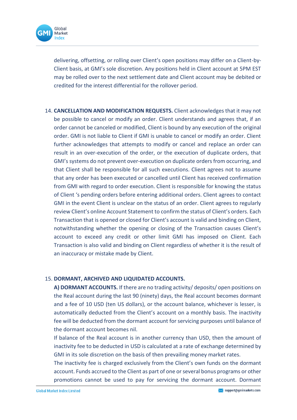

delivering, offsetting, or rolling over Client's open positions may differ on a Client-by-Client basis, at GMI's sole discretion. Any positions held in Client account at 5PM EST may be rolled over to the next settlement date and Client account may be debited or credited for the interest differential for the rollover period.

14. **CANCELLATION AND MODIFICATION REQUESTS.** Client acknowledges that it may not be possible to cancel or modify an order. Client understands and agrees that, if an order cannot be canceled or modified, Client is bound by any execution of the original order. GMI is not liable to Client if GMI is unable to cancel or modify an order. Client further acknowledges that attempts to modify or cancel and replace an order can result in an over-execution of the order, or the execution of duplicate orders, that GMI's systems do not prevent over-execution on duplicate orders from occurring, and that Client shall be responsible for all such executions. Client agrees not to assume that any order has been executed or cancelled until Client has received confirmation from GMI with regard to order execution. Client is responsible for knowing the status of Client 's pending orders before entering additional orders. Client agrees to contact GMI in the event Client is unclear on the status of an order. Client agrees to regularly review Client's online Account Statement to confirm the status of Client's orders. Each Transaction that is opened or closed for Client's account is valid and binding on Client, notwithstanding whether the opening or closing of the Transaction causes Client's account to exceed any credit or other limit GMI has imposed on Client. Each Transaction is also valid and binding on Client regardless of whether it is the result of an inaccuracy or mistake made by Client.

## 15. **DORMANT, ARCHIVED AND LIQUIDATED ACCOUNTS.**

**A) DORMANT ACCOUNTS.** If there are no trading activity/ deposits/ open positions on the Real account during the last 90 (ninety) days, the Real account becomes dormant and a fee of 10 USD (ten US dollars), or the account balance, whichever is lesser, is automatically deducted from the Client's account on a monthly basis. The inactivity fee will be deducted from the dormant account for servicing purposes until balance of the dormant account becomes nil.

If balance of the Real account is in another currency than USD, then the amount of inactivity fee to be deducted in USD is calculated at a rate of exchange determined by GMI in its sole discretion on the basis of then prevailing money market rates.

The inactivity fee is charged exclusively from the Client's own funds on the dormant account. Funds accrued to the Client as part of one or several bonus programs or other promotions cannot be used to pay for servicing the dormant account. Dormant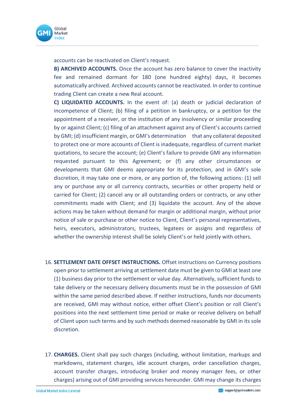

accounts can be reactivated on Client's request.

**B) ARCHIVED ACCOUNTS.** Once the account has zero balance to cover the inactivity fee and remained dormant for 180 (one hundred eighty) days, it becomes automatically archived. Archived accounts cannot be reactivated. In order to continue trading Client can create a new Real account.

**C) LIQUIDATED ACCOUNTS.** In the event of: (a) death or judicial declaration of incompetence of Client; (b) filing of a petition in bankruptcy, or a petition for the appointment of a receiver, or the institution of any insolvency or similar proceeding by or against Client; (c) filing of an attachment against any of Client's accounts carried by GMI; (d) insufficient margin, or GMI's determination that any collateral deposited to protect one or more accounts of Client is inadequate, regardless of current market quotations, to secure the account; (e) Client's failure to provide GMI any information requested pursuant to this Agreement; or (f) any other circumstances or developments that GMI deems appropriate for its protection, and in GMI's sole discretion, it may take one or more, or any portion of, the following actions: (1) sell any or purchase any or all currency contracts, securities or other property held or carried for Client; (2) cancel any or all outstanding orders or contracts, or any other commitments made with Client; and (3) liquidate the account. Any of the above actions may be taken without demand for margin or additional margin, without prior notice of sale or purchase or other notice to Client, Client's personal representatives, heirs, executors, administrators, trustees, legatees or assigns and regardless of whether the ownership interest shall be solely Client's or held jointly with others.

- 16. **SETTLEMENT DATE OFFSET INSTRUCTIONS.** Offset instructions on Currency positions open prior to settlement arriving at settlement date must be given to GMI at least one (1) business day prior to the settlement or value day. Alternatively, sufficient funds to take delivery or the necessary delivery documents must be in the possession of GMI within the same period described above. If neither instructions, funds nor documents are received, GMI may without notice, either offset Client's position or roll Client's positions into the next settlement time period or make or receive delivery on behalf of Client upon such terms and by such methods deemed reasonable by GMI in its sole discretion.
- 17. **CHARGES.** Client shall pay such charges (including, without limitation, markups and markdowns, statement charges, idle account charges, order cancellation charges, account transfer charges, introducing broker and money manager fees, or other charges) arising out of GMI providing services hereunder. GMI may change its charges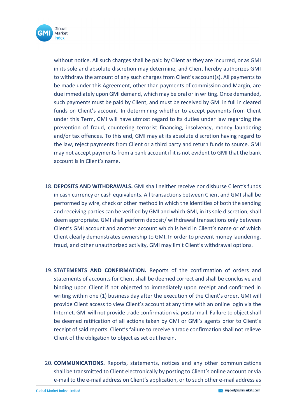

without notice. All such charges shall be paid by Client as they are incurred, or as GMI in its sole and absolute discretion may determine, and Client hereby authorizes GMI to withdraw the amount of any such charges from Client's account(s). All payments to be made under this Agreement, other than payments of commission and Margin, are due immediately upon GMI demand, which may be oral or in writing. Once demanded, such payments must be paid by Client, and must be received by GMI in full in cleared funds on Client's account. In determining whether to accept payments from Client under this Term, GMI will have utmost regard to its duties under law regarding the prevention of fraud, countering terrorist financing, insolvency, money laundering and/or tax offences. To this end, GMI may at its absolute discretion having regard to the law, reject payments from Client or a third party and return funds to source. GMI may not accept payments from a bank account if it is not evident to GMI that the bank account is in Client's name.

- 18. **DEPOSITS AND WITHDRAWALS.** GMI shall neither receive nor disburse Client's funds in cash currency or cash equivalents. All transactions between Client and GMI shall be performed by wire, check or other method in which the identities of both the sending and receiving parties can be verified by GMI and which GMI, in its sole discretion, shall deem appropriate. GMI shall perform deposit/ withdrawal transactions only between Client's GMI account and another account which is held in Client's name or of which Client clearly demonstrates ownership to GMI. In order to prevent money laundering, fraud, and other unauthorized activity, GMI may limit Client's withdrawal options.
- 19. **STATEMENTS AND CONFIRMATION.** Reports of the confirmation of orders and statements of accounts for Client shall be deemed correct and shall be conclusive and binding upon Client if not objected to immediately upon receipt and confirmed in writing within one (1) business day after the execution of the Client's order. GMI will provide Client access to view Client's account at any time with an online login via the Internet. GMI will not provide trade confirmation via postal mail. Failure to object shall be deemed ratification of all actions taken by GMI or GMI's agents prior to Client's receipt of said reports. Client's failure to receive a trade confirmation shall not relieve Client of the obligation to object as set out herein.
- 20. **COMMUNICATIONS.** Reports, statements, notices and any other communications shall be transmitted to Client electronically by posting to Client's online account or via e-mail to the e-mail address on Client's application, or to such other e-mail address as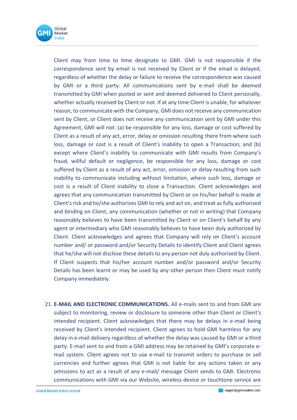

Client may from time to time designate to GMI. GMI is not responsible if the correspondence sent by email is not received by Client or if the email is delayed, regardless of whether the delay or failure to receive the correspondence was caused by GMI or a third party. All communications sent by e-mail shall be deemed transmitted by GMI when posted or sent and deemed delivered to Client personally, whether actually received by Client or not. If at any time Client is unable, for whatever reason, to communicate with the Company, GMI does not receive any communication sent by Client, or Client does not receive any communication sent by GMI under this Agreement, GMI will not: (a) be responsible for any loss, damage or cost suffered by Client as a result of any act, error, delay or omission resulting there from where such loss, damage or cost is a result of Client's inability to open a Transaction; and (b) except where Client's inability to communicate with GMI results from Company's fraud, willful default or negligence, be responsible for any loss, damage or cost suffered by Client as a result of any act, error, omission or delay resulting from such inability to communicate including without limitation, where such loss, damage or cost is a result of Client inability to close a Transaction. Client acknowledges and agrees that any communication transmitted by Client or on his/her behalf is made at Client's risk and he/she authorizes GMI to rely and act on, and treat as fully authorized and binding on Client, any communication (whether or not in writing) that Company reasonably believes to have been transmitted by Client or on Client's behalf by any agent or intermediary who GMI reasonably believes to have been duly authorized by Client. Client acknowledges and agrees that Company will rely on Client's account number and/ or password and/or Security Details to identify Client and Client agrees that he/she will not disclose these details to any person not duly authorized by Client. If Client suspects that his/her account number and/or password and/or Security Details has been learnt or may be used by any other person then Client must notify Company immediately.

21. **E-MAIL AND ELECTRONIC COMMUNICATIONS.** All e-mails sent to and from GMI are subject to monitoring, review or disclosure to someone other than Client or Client's intended recipient. Client acknowledges that there may be delays in e-mail being received by Client's intended recipient. Client agrees to hold GMI harmless for any delay in e-mail delivery regardless of whether the delay was caused by GMI or a third party. E-mail sent to and from a GMI address may be retained by GMI's corporate email system. Client agrees not to use e-mail to transmit orders to purchase or sell currencies and further agrees that GMI is not liable for any actions taken or any omissions to act as a result of any e-mail/ message Client sends to GMI. Electronic communications with GMI via our Website, wireless device or touchtone service are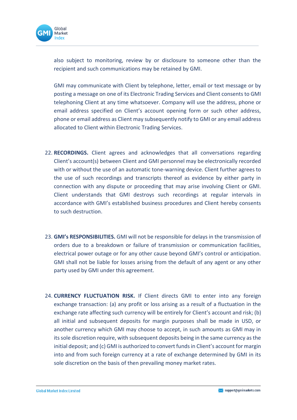

also subject to monitoring, review by or disclosure to someone other than the recipient and such communications may be retained by GMI.

GMI may communicate with Client by telephone, letter, email or text message or by posting a message on one of its Electronic Trading Services and Client consents to GMI telephoning Client at any time whatsoever. Company will use the address, phone or email address specified on Client's account opening form or such other address, phone or email address as Client may subsequently notify to GMI or any email address allocated to Client within Electronic Trading Services.

- 22. **RECORDINGS.** Client agrees and acknowledges that all conversations regarding Client's account(s) between Client and GMI personnel may be electronically recorded with or without the use of an automatic tone-warning device. Client further agrees to the use of such recordings and transcripts thereof as evidence by either party in connection with any dispute or proceeding that may arise involving Client or GMI. Client understands that GMI destroys such recordings at regular intervals in accordance with GMI's established business procedures and Client hereby consents to such destruction.
- 23. **GMI's RESPONSIBILITIES.** GMI will not be responsible for delays in the transmission of orders due to a breakdown or failure of transmission or communication facilities, electrical power outage or for any other cause beyond GMI's control or anticipation. GMI shall not be liable for losses arising from the default of any agent or any other party used by GMI under this agreement.
- 24. **CURRENCY FLUCTUATION RISK.** If Client directs GMI to enter into any foreign exchange transaction: (a) any profit or loss arising as a result of a fluctuation in the exchange rate affecting such currency will be entirely for Client's account and risk; (b) all initial and subsequent deposits for margin purposes shall be made in USD, or another currency which GMI may choose to accept, in such amounts as GMI may in its sole discretion require, with subsequent deposits being in the same currency as the initial deposit; and (c) GMI is authorized to convert funds in Client's account for margin into and from such foreign currency at a rate of exchange determined by GMI in its sole discretion on the basis of then prevailing money market rates.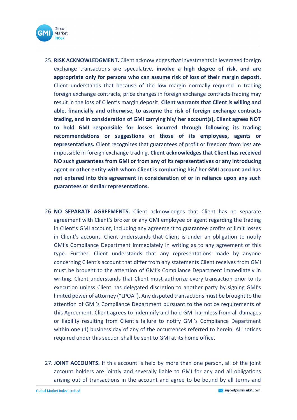

- 25. **RISK ACKNOWLEDGMENT.** Client acknowledges that investments in leveraged foreign exchange transactions are speculative, **involve a high degree of risk, and are appropriate only for persons who can assume risk of loss of their margin deposit**. Client understands that because of the low margin normally required in trading foreign exchange contracts, price changes in foreign exchange contracts trading may result in the loss of Client's margin deposit. **Client warrants that Client is willing and able, financially and otherwise, to assume the risk of foreign exchange contracts trading, and in consideration of GMI carrying his/ her account(s), Client agrees NOT to hold GMI responsible for losses incurred through following its trading recommendations or suggestions or those of its employees, agents or representatives.** Client recognizes that guarantees of profit or freedom from loss are impossible in foreign exchange trading. **Client acknowledges that Client has received NO such guarantees from GMI or from any of its representatives or any introducing agent or other entity with whom Client is conducting his/ her GMI account and has not entered into this agreement in consideration of or in reliance upon any such guarantees or similar representations.**
- 26. **NO SEPARATE AGREEMENTS.** Client acknowledges that Client has no separate agreement with Client's broker or any GMI employee or agent regarding the trading in Client's GMI account, including any agreement to guarantee profits or limit losses in Client's account. Client understands that Client is under an obligation to notify GMI's Compliance Department immediately in writing as to any agreement of this type. Further, Client understands that any representations made by anyone concerning Client's account that differ from any statements Client receives from GMI must be brought to the attention of GMI's Compliance Department immediately in writing. Client understands that Client must authorize every transaction prior to its execution unless Client has delegated discretion to another party by signing GMI's limited power of attorney ("LPOA"). Any disputed transactions must be brought to the attention of GMI's Compliance Department pursuant to the notice requirements of this Agreement. Client agrees to indemnify and hold GMI harmless from all damages or liability resulting from Client's failure to notify GMI's Compliance Department within one (1) business day of any of the occurrences referred to herein. All notices required under this section shall be sent to GMI at its home office.
- 27. **JOINT ACCOUNTS.** If this account is held by more than one person, all of the joint account holders are jointly and severally liable to GMI for any and all obligations arising out of transactions in the account and agree to be bound by all terms and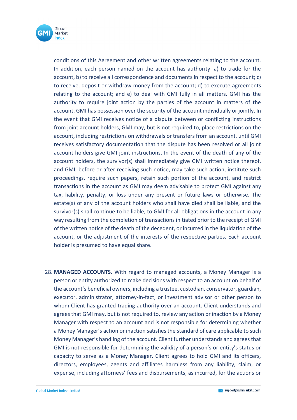

conditions of this Agreement and other written agreements relating to the account. In addition, each person named on the account has authority: a) to trade for the account, b) to receive all correspondence and documents in respect to the account; c) to receive, deposit or withdraw money from the account; d) to execute agreements relating to the account; and e) to deal with GMI fully in all matters. GMI has the authority to require joint action by the parties of the account in matters of the account. GMI has possession over the security of the account individually or jointly. In the event that GMI receives notice of a dispute between or conflicting instructions from joint account holders, GMI may, but is not required to, place restrictions on the account, including restrictions on withdrawals or transfers from an account, until GMI receives satisfactory documentation that the dispute has been resolved or all joint account holders give GMI joint instructions. In the event of the death of any of the account holders, the survivor(s) shall immediately give GMI written notice thereof, and GMI, before or after receiving such notice, may take such action, institute such proceedings, require such papers, retain such portion of the account, and restrict transactions in the account as GMI may deem advisable to protect GMI against any tax, liability, penalty, or loss under any present or future laws or otherwise. The estate(s) of any of the account holders who shall have died shall be liable, and the survivor(s) shall continue to be liable, to GMI for all obligations in the account in any way resulting from the completion of transactions initiated prior to the receipt of GMI of the written notice of the death of the decedent, or incurred in the liquidation of the account, or the adjustment of the interests of the respective parties. Each account holder is presumed to have equal share.

28. **MANAGED ACCOUNTS.** With regard to managed accounts, a Money Manager is a person or entity authorized to make decisions with respect to an account on behalf of the account's beneficial owners, including a trustee, custodian, conservator, guardian, executor, administrator, attorney-in-fact, or investment advisor or other person to whom Client has granted trading authority over an account. Client understands and agrees that GMI may, but is not required to, review any action or inaction by a Money Manager with respect to an account and is not responsible for determining whether a Money Manager's action or inaction satisfies the standard of care applicable to such Money Manager's handling of the account. Client further understands and agrees that GMI is not responsible for determining the validity of a person's or entity's status or capacity to serve as a Money Manager. Client agrees to hold GMI and its officers, directors, employees, agents and affiliates harmless from any liability, claim, or expense, including attorneys' fees and disbursements, as incurred, for the actions or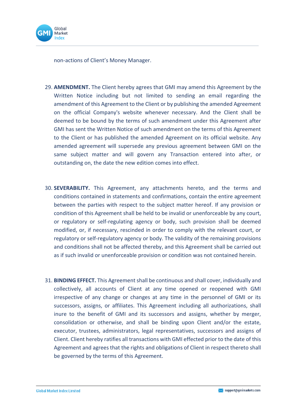

non-actions of Client's Money Manager.

- 29. **AMENDMENT.** The Client hereby agrees that GMI may amend this Agreement by the Written Notice including but not limited to sending an email regarding the amendment of this Agreement to the Client or by publishing the amended Agreement on the official Company's website whenever necessary. And the Client shall be deemed to be bound by the terms of such amendment under this Agreement after GMI has sent the Written Notice of such amendment on the terms of this Agreement to the Client or has published the amended Agreement on its official website. Any amended agreement will supersede any previous agreement between GMI on the same subject matter and will govern any Transaction entered into after, or outstanding on, the date the new edition comes into effect.
- 30. **SEVERABILITY.** This Agreement, any attachments hereto, and the terms and conditions contained in statements and confirmations, contain the entire agreement between the parties with respect to the subject matter hereof. If any provision or condition of this Agreement shall be held to be invalid or unenforceable by any court, or regulatory or self-regulating agency or body, such provision shall be deemed modified, or, if necessary, rescinded in order to comply with the relevant court, or regulatory or self-regulatory agency or body. The validity of the remaining provisions and conditions shall not be affected thereby, and this Agreement shall be carried out as if such invalid or unenforceable provision or condition was not contained herein.
- 31. **BINDING EFFECT.** This Agreement shall be continuous and shall cover, individually and collectively, all accounts of Client at any time opened or reopened with GMI irrespective of any change or changes at any time in the personnel of GMI or its successors, assigns, or affiliates. This Agreement including all authorizations, shall inure to the benefit of GMI and its successors and assigns, whether by merger, consolidation or otherwise, and shall be binding upon Client and/or the estate, executor, trustees, administrators, legal representatives, successors and assigns of Client. Client hereby ratifies all transactions with GMI effected prior to the date of this Agreement and agrees that the rights and obligations of Client in respect thereto shall be governed by the terms of this Agreement.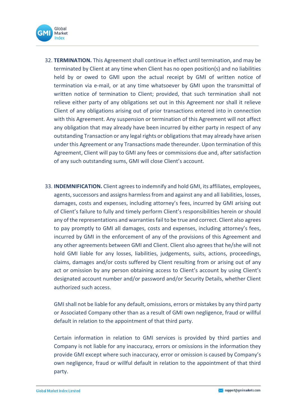

- 32. **TERMINATION.** This Agreement shall continue in effect until termination, and may be terminated by Client at any time when Client has no open position(s) and no liabilities held by or owed to GMI upon the actual receipt by GMI of written notice of termination via e-mail, or at any time whatsoever by GMI upon the transmittal of written notice of termination to Client; provided, that such termination shall not relieve either party of any obligations set out in this Agreement nor shall it relieve Client of any obligations arising out of prior transactions entered into in connection with this Agreement. Any suspension or termination of this Agreement will not affect any obligation that may already have been incurred by either party in respect of any outstanding Transaction or any legal rights or obligations that may already have arisen under this Agreement or any Transactions made thereunder. Upon termination of this Agreement, Client will pay to GMI any fees or commissions due and, after satisfaction of any such outstanding sums, GMI will close Client's account.
- 33. **INDEMNIFICATION.** Client agrees to indemnify and hold GMI, its affiliates, employees, agents, successors and assigns harmless from and against any and all liabilities, losses, damages, costs and expenses, including attorney's fees, incurred by GMI arising out of Client's failure to fully and timely perform Client's responsibilities herein or should any of the representations and warranties fail to be true and correct. Client also agrees to pay promptly to GMI all damages, costs and expenses, including attorney's fees, incurred by GMI in the enforcement of any of the provisions of this Agreement and any other agreements between GMI and Client. Client also agrees that he/she will not hold GMI liable for any losses, liabilities, judgements, suits, actions, proceedings, claims, damages and/or costs suffered by Client resulting from or arising out of any act or omission by any person obtaining access to Client's account by using Client's designated account number and/or password and/or Security Details, whether Client authorized such access.

GMI shall not be liable for any default, omissions, errors or mistakes by any third party or Associated Company other than as a result of GMI own negligence, fraud or willful default in relation to the appointment of that third party.

Certain information in relation to GMI services is provided by third parties and Company is not liable for any inaccuracy, errors or omissions in the information they provide GMI except where such inaccuracy, error or omission is caused by Company's own negligence, fraud or willful default in relation to the appointment of that third party.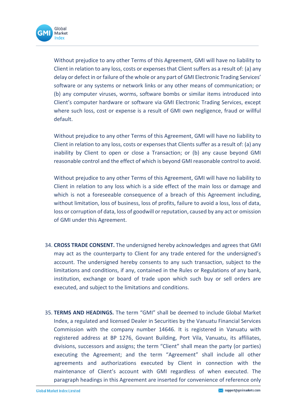

Without prejudice to any other Terms of this Agreement, GMI will have no liability to Client in relation to any loss, costs or expenses that Client suffers as a result of: (a) any delay or defect in or failure of the whole or any part of GMI Electronic Trading Services' software or any systems or network links or any other means of communication; or (b) any computer viruses, worms, software bombs or similar items introduced into Client's computer hardware or software via GMI Electronic Trading Services, except where such loss, cost or expense is a result of GMI own negligence, fraud or willful default.

Without prejudice to any other Terms of this Agreement, GMI will have no liability to Client in relation to any loss, costs or expenses that Clients suffer as a result of: (a) any inability by Client to open or close a Transaction; or (b) any cause beyond GMI reasonable control and the effect of which is beyond GMI reasonable control to avoid.

Without prejudice to any other Terms of this Agreement, GMI will have no liability to Client in relation to any loss which is a side effect of the main loss or damage and which is not a foreseeable consequence of a breach of this Agreement including, without limitation, loss of business, loss of profits, failure to avoid a loss, loss of data, loss or corruption of data, loss of goodwill or reputation, caused by any act or omission of GMI under this Agreement.

- 34. **CROSS TRADE CONSENT.** The undersigned hereby acknowledges and agrees that GMI may act as the counterparty to Client for any trade entered for the undersigned's account. The undersigned hereby consents to any such transaction, subject to the limitations and conditions, if any, contained in the Rules or Regulations of any bank, institution, exchange or board of trade upon which such buy or sell orders are executed, and subject to the limitations and conditions.
- 35. **TERMS AND HEADINGS.** The term "GMI" shall be deemed to include Global Market Index, a regulated and licensed Dealer in Securities by the Vanuatu Financial Services Commission with the company number 14646. It is registered in Vanuatu with registered address at BP 1276, Govant Building, Port Vila, Vanuatu, its affiliates, divisions, successors and assigns; the term "Client" shall mean the party (or parties) executing the Agreement; and the term "Agreement" shall include all other agreements and authorizations executed by Client in connection with the maintenance of Client's account with GMI regardless of when executed. The paragraph headings in this Agreement are inserted for convenience of reference only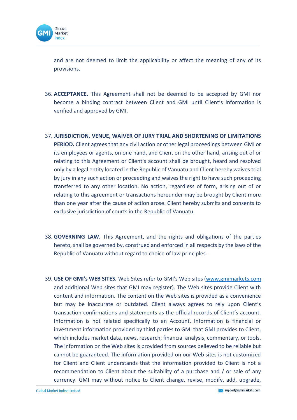

and are not deemed to limit the applicability or affect the meaning of any of its provisions.

- 36. **ACCEPTANCE.** This Agreement shall not be deemed to be accepted by GMI nor become a binding contract between Client and GMI until Client's information is verified and approved by GMI.
- 37. **JURISDICTION, VENUE, WAIVER OF JURY TRIAL AND SHORTENING OF LIMITATIONS PERIOD.** Client agrees that any civil action or other legal proceedings between GMI or its employees or agents, on one hand, and Client on the other hand, arising out of or relating to this Agreement or Client's account shall be brought, heard and resolved only by a legal entity located in the Republic of Vanuatu and Client hereby waives trial by jury in any such action or proceeding and waives the right to have such proceeding transferred to any other location. No action, regardless of form, arising out of or relating to this agreement or transactions hereunder may be brought by Client more than one year after the cause of action arose. Client hereby submits and consents to exclusive jurisdiction of courts in the Republic of Vanuatu.
- 38. **GOVERNING LAW.** This Agreement, and the rights and obligations of the parties hereto, shall be governed by, construed and enforced in all respects by the laws of the Republic of Vanuatu without regard to choice of law principles.
- 39. **USE OF GMI's WEB SITES.** Web Sites refer to GMI's Web sites [\(www.gmimarkets.com](http://www.gmimarkets.com/) and additional Web sites that GMI may register). The Web sites provide Client with content and information. The content on the Web sites is provided as a convenience but may be inaccurate or outdated. Client always agrees to rely upon Client's transaction confirmations and statements as the official records of Client's account. Information is not related specifically to an Account. Information is financial or investment information provided by third parties to GMI that GMI provides to Client, which includes market data, news, research, financial analysis, commentary, or tools. The information on the Web sites is provided from sources believed to be reliable but cannot be guaranteed. The information provided on our Web sites is not customized for Client and Client understands that the information provided to Client is not a recommendation to Client about the suitability of a purchase and / or sale of any currency. GMI may without notice to Client change, revise, modify, add, upgrade,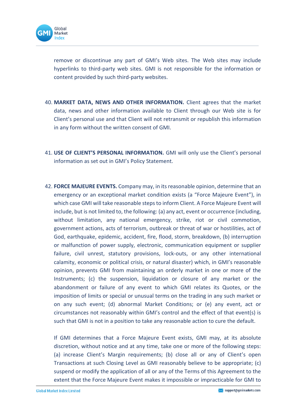

remove or discontinue any part of GMI's Web sites. The Web sites may include hyperlinks to third-party web sites. GMI is not responsible for the information or content provided by such third-party websites.

- 40. **MARKET DATA, NEWS AND OTHER INFORMATION.** Client agrees that the market data, news and other information available to Client through our Web site is for Client's personal use and that Client will not retransmit or republish this information in any form without the written consent of GMI.
- 41. **USE OF CLIENT'S PERSONAL INFORMATION.** GMI will only use the Client's personal information as set out in GMI's Policy Statement.
- 42. **FORCE MAJEURE EVENTS.** Company may, in its reasonable opinion, determine that an emergency or an exceptional market condition exists (a "Force Majeure Event"), in which case GMI will take reasonable steps to inform Client. A Force Majeure Event will include, but is not limited to, the following: (a) any act, event or occurrence (including, without limitation, any national emergency, strike, riot or civil commotion, government actions, acts of terrorism, outbreak or threat of war or hostilities, act of God, earthquake, epidemic, accident, fire, flood, storm, breakdown, (b) interruption or malfunction of power supply, electronic, communication equipment or supplier failure, civil unrest, statutory provisions, lock-outs, or any other international calamity, economic or political crisis, or natural disaster) which, in GMI's reasonable opinion, prevents GMI from maintaining an orderly market in one or more of the Instruments; (c) the suspension, liquidation or closure of any market or the abandonment or failure of any event to which GMI relates its Quotes, or the imposition of limits or special or unusual terms on the trading in any such market or on any such event; (d) abnormal Market Conditions; or (e) any event, act or circumstances not reasonably within GMI's control and the effect of that event(s) is such that GMI is not in a position to take any reasonable action to cure the default.

If GMI determines that a Force Majeure Event exists, GMI may, at its absolute discretion, without notice and at any time, take one or more of the following steps: (a) increase Client's Margin requirements; (b) close all or any of Client's open Transactions at such Closing Level as GMI reasonably believe to be appropriate; (c) suspend or modify the application of all or any of the Terms of this Agreement to the extent that the Force Majeure Event makes it impossible or impracticable for GMI to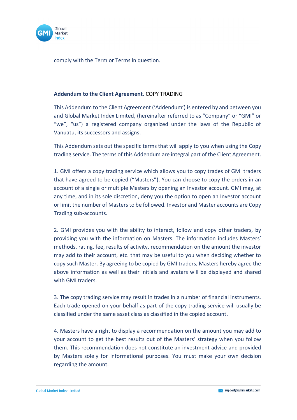

comply with the Term or Terms in question.

#### **Addendum to the Client Agreement**. COPY TRADING

This Addendum to the Client Agreement ('Addendum') is entered by and between you and Global Market Index Limited, (hereinafter referred to as "Company" or "GMI" or "we", "us") a registered company organized under the laws of the Republic of Vanuatu, its successors and assigns.

This Addendum sets out the specific terms that will apply to you when using the Copy trading service. The terms of this Addendum are integral part of the Client Agreement.

1. GMI offers a copy trading service which allows you to copy trades of GMI traders that have agreed to be copied ("Masters"). You can choose to copy the orders in an account of a single or multiple Masters by opening an Investor account. GMI may, at any time, and in its sole discretion, deny you the option to open an Investor account or limit the number of Masters to be followed. Investor and Master accounts are Copy Trading sub-accounts.

2. GMI provides you with the ability to interact, follow and copy other traders, by providing you with the information on Masters. The information includes Masters' methods, rating, fee, results of activity, recommendation on the amount the investor may add to their account, etc. that may be useful to you when deciding whether to copy such Master. By agreeing to be copied by GMI traders, Masters hereby agree the above information as well as their initials and avatars will be displayed and shared with GMI traders.

3. The copy trading service may result in trades in a number of financial instruments. Each trade opened on your behalf as part of the copy trading service will usually be classified under the same asset class as classified in the copied account.

4. Masters have a right to display a recommendation on the amount you may add to your account to get the best results out of the Masters' strategy when you follow them. This recommendation does not constitute an investment advice and provided by Masters solely for informational purposes. You must make your own decision regarding the amount.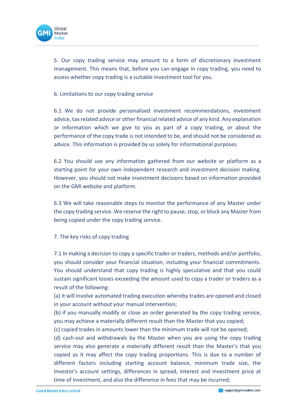

5. Our copy trading service may amount to a form of discretionary investment management. This means that, before you can engage in copy trading, you need to assess whether copy trading is a suitable investment tool for you.

6. Limitations to our copy trading service

6.1 We do not provide personalised investment recommendations, investment advice, tax related advice or other financial related advice of any kind. Any explanation or information which we give to you as part of a copy trading, or about the performance of the copy trade is not intended to be, and should not be considered as advice. This information is provided by us solely for informational purposes.

6.2 You should use any information gathered from our website or platform as a starting point for your own independent research and investment decision making. However, you should not make investment decisions based on information provided on the GMI website and platform.

6.3 We will take reasonable steps to monitor the performance of any Master under the copy trading service. We reserve the right to pause, stop, or block any Master from being copied under the copy trading service.

7. The key risks of copy trading

7.1 In making a decision to copy a specific trader or traders, methods and/or portfolio, you should consider your financial situation, including your financial commitments. You should understand that copy trading is highly speculative and that you could sustain significant losses exceeding the amount used to copy a trader or traders as a result of the following:

(a) it will involve automated trading execution whereby trades are opened and closed in your account without your manual intervention;

(b) if you manually modify or close an order generated by the copy trading service, you may achieve a materially different result than the Master that you copied;

(c) copied trades in amounts lower than the minimum trade will not be opened;

(d) cash-out and withdrawals by the Master when you are using the copy trading service may also generate a materially different result than the Master's that you copied as it may affect the copy trading proportions. This is due to a number of different factors including starting account balance, minimum trade size, the Investor's account settings, differences in spread, interest and investment price at time of investment, and also the difference in fees that may be incurred;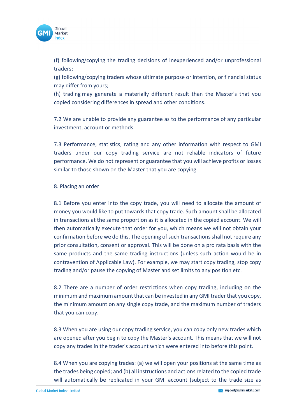

(f) following/copying the trading decisions of inexperienced and/or unprofessional traders;

(g) following/copying traders whose ultimate purpose or intention, or financial status may differ from yours;

(h) trading may generate a materially different result than the Master's that you copied considering differences in spread and other conditions.

7.2 We are unable to provide any guarantee as to the performance of any particular investment, account or methods.

7.3 Performance, statistics, rating and any other information with respect to GMI traders under our copy trading service are not reliable indicators of future performance. We do not represent or guarantee that you will achieve profits or losses similar to those shown on the Master that you are copying.

#### 8. Placing an order

8.1 Before you enter into the copy trade, you will need to allocate the amount of money you would like to put towards that copy trade. Such amount shall be allocated in transactions at the same proportion as it is allocated in the copied account. We will then automatically execute that order for you, which means we will not obtain your confirmation before we do this. The opening of such transactions shall not require any prior consultation, consent or approval. This will be done on a pro rata basis with the same products and the same trading instructions (unless such action would be in contravention of Applicable Law). For example, we may start copy trading, stop copy trading and/or pause the copying of Master and set limits to any position etc.

8.2 There are a number of order restrictions when copy trading, including on the minimum and maximum amount that can be invested in any GMI trader that you copy, the minimum amount on any single copy trade, and the maximum number of traders that you can copy.

8.3 When you are using our copy trading service, you can copy only new trades which are opened after you begin to copy the Master's account. This means that we will not copy any trades in the trader's account which were entered into before this point.

8.4 When you are copying trades: (a) we will open your positions at the same time as the trades being copied; and (b) all instructions and actions related to the copied trade will automatically be replicated in your GMI account (subject to the trade size as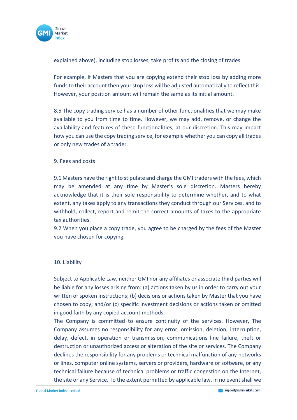

explained above), including stop losses, take profits and the closing of trades.

For example, if Masters that you are copying extend their stop loss by adding more funds to their account then your stop loss will be adjusted automatically to reflect this. However, your position amount will remain the same as its initial amount.

8.5 The copy trading service has a number of other functionalities that we may make available to you from time to time. However, we may add, remove, or change the availability and features of these functionalities, at our discretion. This may impact how you can use the copy trading service, for example whether you can copy all trades or only new trades of a trader.

#### 9. Fees and costs

9.1 Masters have the right to stipulate and charge the GMI traders with the fees, which may be amended at any time by Master's sole discretion. Masters hereby acknowledge that it is their sole responsibility to determine whether, and to what extent, any taxes apply to any transactions they conduct through our Services, and to withhold, collect, report and remit the correct amounts of taxes to the appropriate tax authorities.

9.2 When you place a copy trade, you agree to be charged by the fees of the Master you have chosen for copying.

## 10. Liability

Subject to Applicable Law, neither GMI nor any affiliates or associate third parties will be liable for any losses arising from: (a) actions taken by us in order to carry out your written or spoken instructions; (b) decisions or actions taken by Master that you have chosen to copy; and/or (c) specific investment decisions or actions taken or omitted in good faith by any copied account methods.

The Company is committed to ensure continuity of the services. However, The Company assumes no responsibility for any error, omission, deletion, interruption, delay, defect, in operation or transmission, communications line failure, theft or destruction or unauthorized access or alteration of the site or services. The Company declines the responsibility for any problems or technical malfunction of any networks or lines, computer online systems, servers or providers, hardware or software, or any technical failure because of technical problems or traffic congestion on the Internet, the site or any Service. To the extent permitted by applicable law, in no event shall we